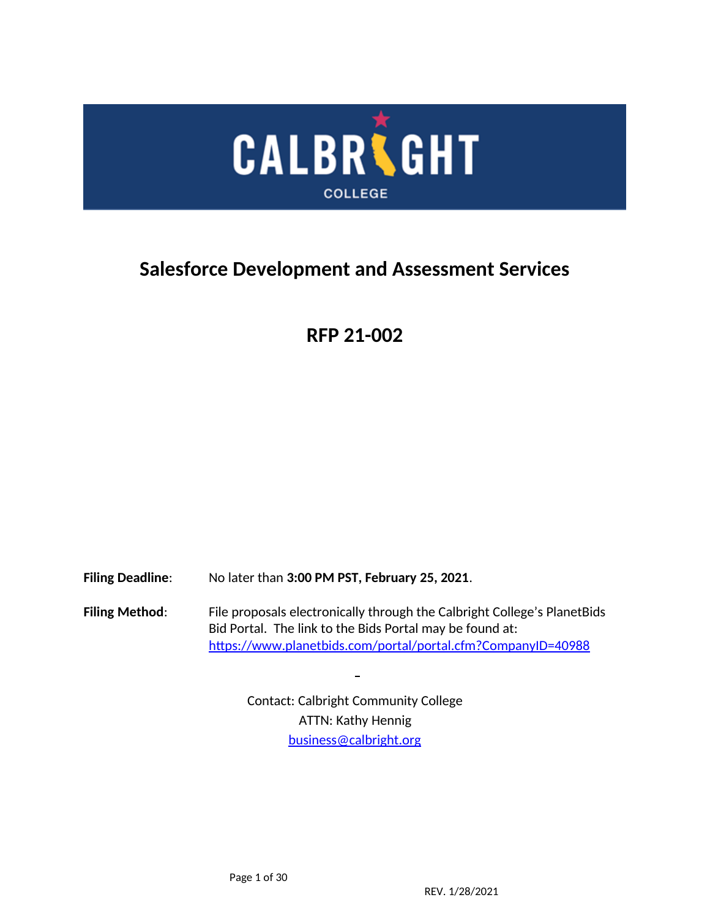

# **Salesforce Development and Assessment Services**

# **RFP 21-002**

**Filing Deadline**: No later than **3:00 PM PST, February 25, 2021**.

Filing Method: File proposals electronically through the Calbright College's PlanetBids Bid Portal. The link to the Bids Portal may be found at: <https://www.planetbids.com/portal/portal.cfm?CompanyID=40988>

> Contact: Calbright Community College ATTN: Kathy Hennig [business@calbright.org](mailto:business@calbright.org)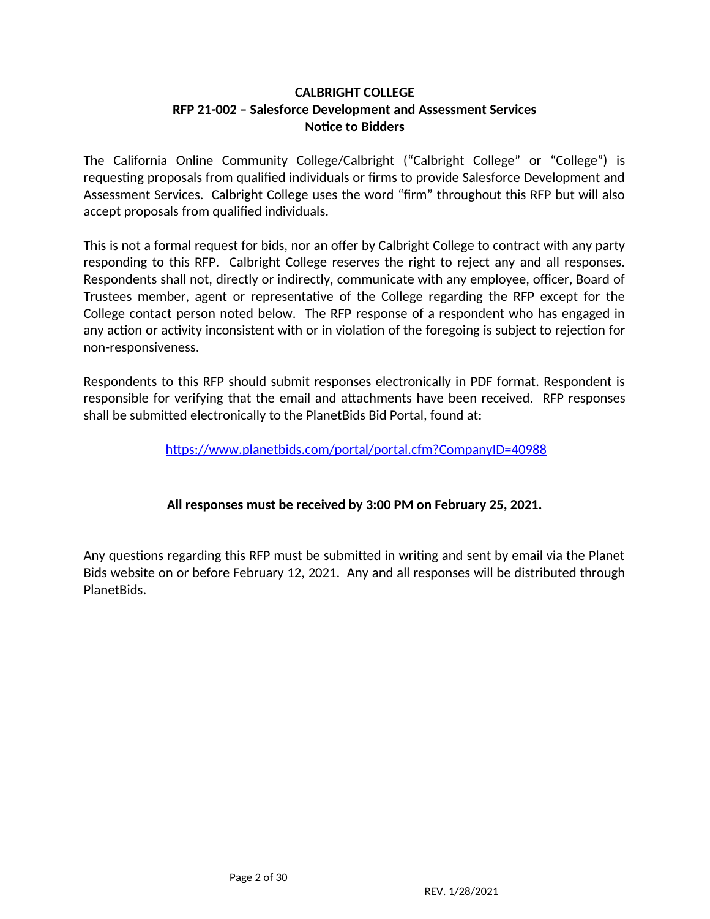# **CALBRIGHT COLLEGE RFP 21-002 – Salesforce Development and Assessment Services Notice to Bidders**

The California Online Community College/Calbright ("Calbright College" or "College") is requesting proposals from qualified individuals or firms to provide Salesforce Development and Assessment Services. Calbright College uses the word "firm" throughout this RFP but will also accept proposals from qualified individuals.

This is not a formal request for bids, nor an offer by Calbright College to contract with any party responding to this RFP. Calbright College reserves the right to reject any and all responses. Respondents shall not, directly or indirectly, communicate with any employee, officer, Board of Trustees member, agent or representative of the College regarding the RFP except for the College contact person noted below. The RFP response of a respondent who has engaged in any action or activity inconsistent with or in violation of the foregoing is subject to rejection for non-responsiveness.

Respondents to this RFP should submit responses electronically in PDF format. Respondent is responsible for verifying that the email and attachments have been received. RFP responses shall be submitted electronically to the PlanetBids Bid Portal, found at:

<https://www.planetbids.com/portal/portal.cfm?CompanyID=40988>

# **All responses must be received by 3:00 PM on February 25, 2021.**

Any questions regarding this RFP must be submitted in writing and sent by email via the Planet Bids website on or before February 12, 2021. Any and all responses will be distributed through PlanetBids.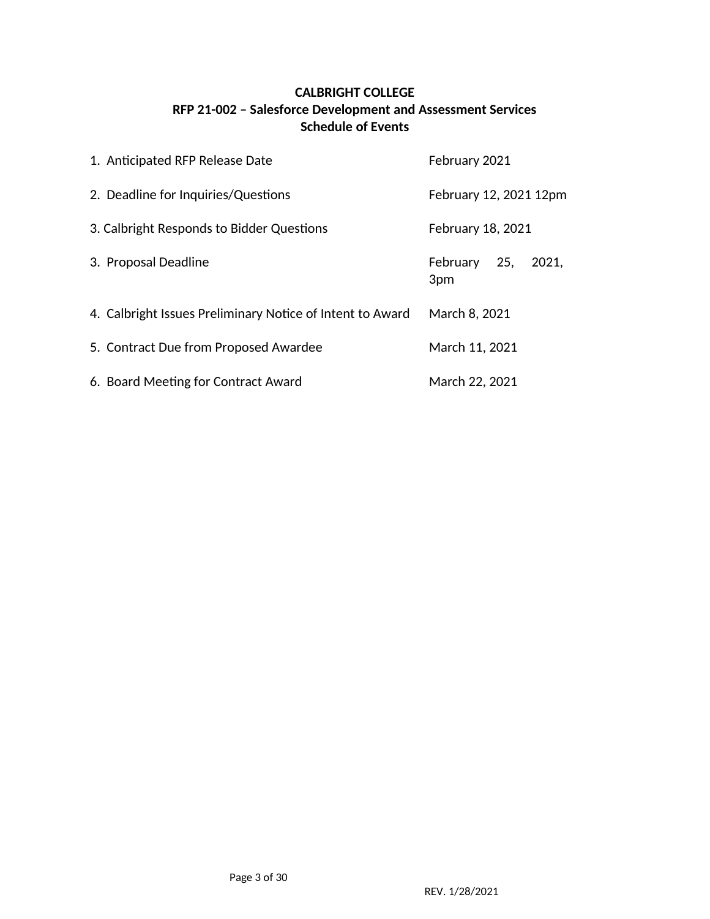# **CALBRIGHT COLLEGE RFP 21-002 – Salesforce Development and Assessment Services Schedule of Events**

| 1. Anticipated RFP Release Date                           | February 2021                |
|-----------------------------------------------------------|------------------------------|
| 2. Deadline for Inquiries/Questions                       | February 12, 2021 12pm       |
| 3. Calbright Responds to Bidder Questions                 | <b>February 18, 2021</b>     |
| 3. Proposal Deadline                                      | February 25,<br>2021,<br>3pm |
| 4. Calbright Issues Preliminary Notice of Intent to Award | March 8, 2021                |
| 5. Contract Due from Proposed Awardee                     | March 11, 2021               |
| 6. Board Meeting for Contract Award                       | March 22, 2021               |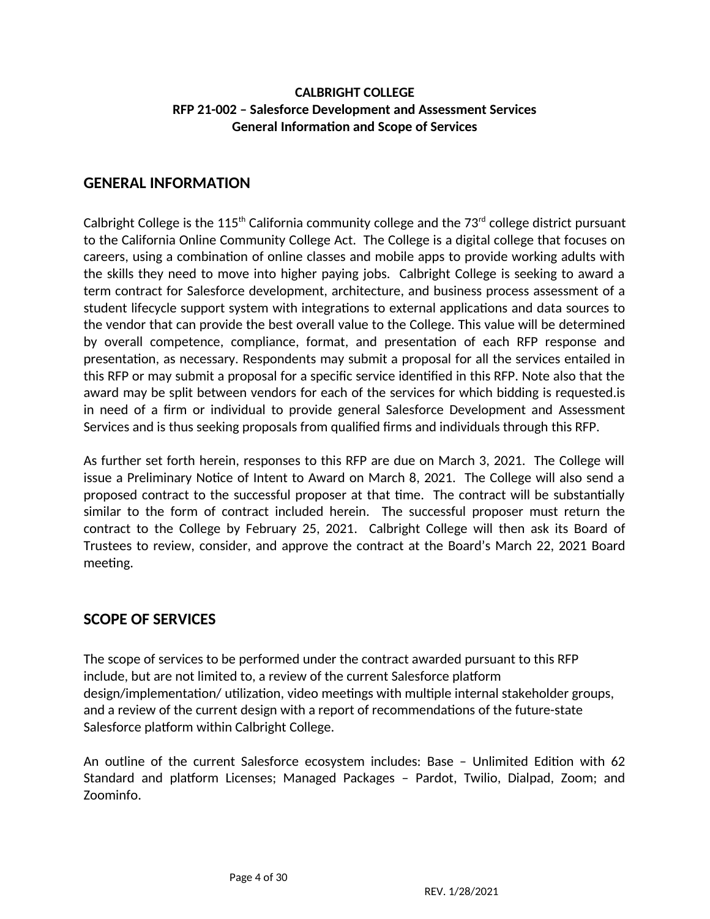# **CALBRIGHT COLLEGE RFP 21-002 – Salesforce Development and Assessment Services General Information and Scope of Services**

# **GENERAL INFORMATION**

Calbright College is the 115<sup>th</sup> California community college and the 73<sup>rd</sup> college district pursuant to the California Online Community College Act. The College is a digital college that focuses on careers, using a combination of online classes and mobile apps to provide working adults with the skills they need to move into higher paying jobs. Calbright College is seeking to award a term contract for Salesforce development, architecture, and business process assessment of a student lifecycle support system with integrations to external applications and data sources to the vendor that can provide the best overall value to the College. This value will be determined by overall competence, compliance, format, and presentation of each RFP response and presentation, as necessary. Respondents may submit a proposal for all the services entailed in this RFP or may submit a proposal for a specific service identified in this RFP. Note also that the award may be split between vendors for each of the services for which bidding is requested.is in need of a firm or individual to provide general Salesforce Development and Assessment Services and is thus seeking proposals from qualified firms and individuals through this RFP.

As further set forth herein, responses to this RFP are due on March 3, 2021. The College will issue a Preliminary Notice of Intent to Award on March 8, 2021. The College will also send a proposed contract to the successful proposer at that time. The contract will be substantially similar to the form of contract included herein. The successful proposer must return the contract to the College by February 25, 2021. Calbright College will then ask its Board of Trustees to review, consider, and approve the contract at the Board's March 22, 2021 Board meeting.

# **SCOPE OF SERVICES**

The scope of services to be performed under the contract awarded pursuant to this RFP include, but are not limited to, a review of the current Salesforce platform design/implementation/ utilization, video meetings with multiple internal stakeholder groups, and a review of the current design with a report of recommendations of the future-state Salesforce platform within Calbright College.

An outline of the current Salesforce ecosystem includes: Base – Unlimited Edition with 62 Standard and platform Licenses; Managed Packages – Pardot, Twilio, Dialpad, Zoom; and Zoominfo.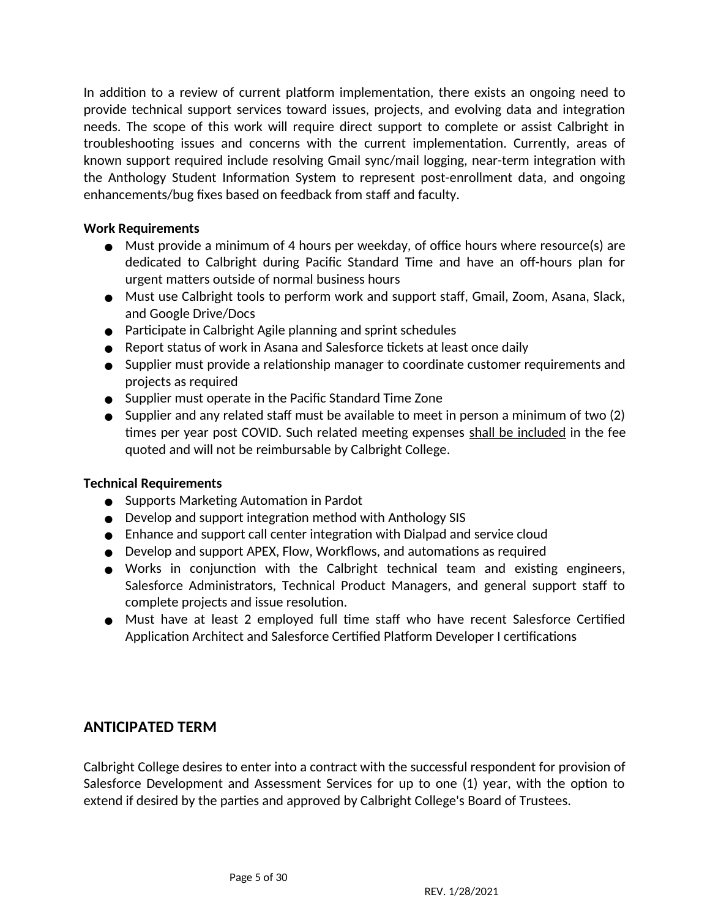In addition to a review of current platform implementation, there exists an ongoing need to provide technical support services toward issues, projects, and evolving data and integration needs. The scope of this work will require direct support to complete or assist Calbright in troubleshooting issues and concerns with the current implementation. Currently, areas of known support required include resolving Gmail sync/mail logging, near-term integration with the Anthology Student Information System to represent post-enrollment data, and ongoing enhancements/bug fixes based on feedback from staff and faculty.

#### **Work Requirements**

- Must provide a minimum of 4 hours per weekday, of office hours where resource(s) are dedicated to Calbright during Pacific Standard Time and have an off-hours plan for urgent matters outside of normal business hours
- Must use Calbright tools to perform work and support staff, Gmail, Zoom, Asana, Slack, and Google Drive/Docs
- Participate in Calbright Agile planning and sprint schedules
- Report status of work in Asana and Salesforce tickets at least once daily
- Supplier must provide a relationship manager to coordinate customer requirements and projects as required
- Supplier must operate in the Pacific Standard Time Zone
- $\bullet$  Supplier and any related staff must be available to meet in person a minimum of two (2) times per year post COVID. Such related meeting expenses shall be included in the fee quoted and will not be reimbursable by Calbright College.

# **Technical Requirements**

- Supports Marketing Automation in Pardot
- Develop and support integration method with Anthology SIS
- Enhance and support call center integration with Dialpad and service cloud
- Develop and support APEX, Flow, Workflows, and automations as required
- Works in conjunction with the Calbright technical team and existing engineers, Salesforce Administrators, Technical Product Managers, and general support staff to complete projects and issue resolution.
- Must have at least 2 employed full time staff who have recent Salesforce Certified Application Architect and Salesforce Certified Platform Developer I certifications

# **ANTICIPATED TERM**

Calbright College desires to enter into a contract with the successful respondent for provision of Salesforce Development and Assessment Services for up to one (1) year, with the option to extend if desired by the parties and approved by Calbright College's Board of Trustees.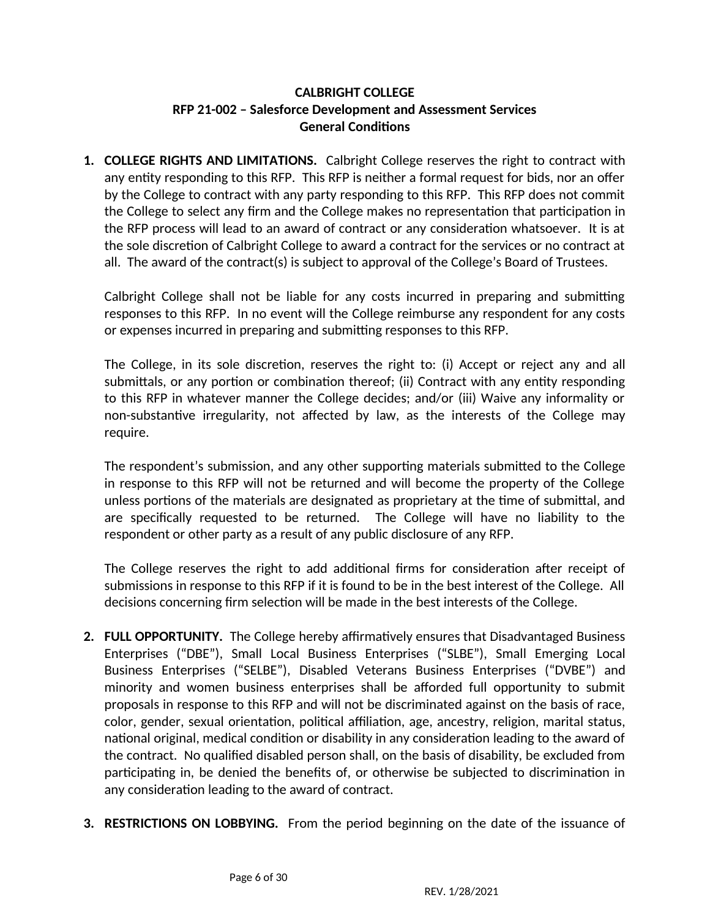# **CALBRIGHT COLLEGE RFP 21-002 – Salesforce Development and Assessment Services General Conditions**

**1. COLLEGE RIGHTS AND LIMITATIONS.** Calbright College reserves the right to contract with any entity responding to this RFP. This RFP is neither a formal request for bids, nor an offer by the College to contract with any party responding to this RFP. This RFP does not commit the College to select any firm and the College makes no representation that participation in the RFP process will lead to an award of contract or any consideration whatsoever. It is at the sole discretion of Calbright College to award a contract for the services or no contract at all. The award of the contract(s) is subject to approval of the College's Board of Trustees.

Calbright College shall not be liable for any costs incurred in preparing and submitting responses to this RFP. In no event will the College reimburse any respondent for any costs or expenses incurred in preparing and submitting responses to this RFP.

The College, in its sole discretion, reserves the right to: (i) Accept or reject any and all submittals, or any portion or combination thereof; (ii) Contract with any entity responding to this RFP in whatever manner the College decides; and/or (iii) Waive any informality or non-substantive irregularity, not affected by law, as the interests of the College may require.

The respondent's submission, and any other supporting materials submitted to the College in response to this RFP will not be returned and will become the property of the College unless portions of the materials are designated as proprietary at the time of submittal, and are specifically requested to be returned. The College will have no liability to the respondent or other party as a result of any public disclosure of any RFP.

The College reserves the right to add additional firms for consideration after receipt of submissions in response to this RFP if it is found to be in the best interest of the College. All decisions concerning firm selection will be made in the best interests of the College.

- **2. FULL OPPORTUNITY.** The College hereby affirmatively ensures that Disadvantaged Business Enterprises ("DBE"), Small Local Business Enterprises ("SLBE"), Small Emerging Local Business Enterprises ("SELBE"), Disabled Veterans Business Enterprises ("DVBE") and minority and women business enterprises shall be afforded full opportunity to submit proposals in response to this RFP and will not be discriminated against on the basis of race, color, gender, sexual orientation, political affiliation, age, ancestry, religion, marital status, national original, medical condition or disability in any consideration leading to the award of the contract. No qualified disabled person shall, on the basis of disability, be excluded from participating in, be denied the benefits of, or otherwise be subjected to discrimination in any consideration leading to the award of contract.
- **3. RESTRICTIONS ON LOBBYING.** From the period beginning on the date of the issuance of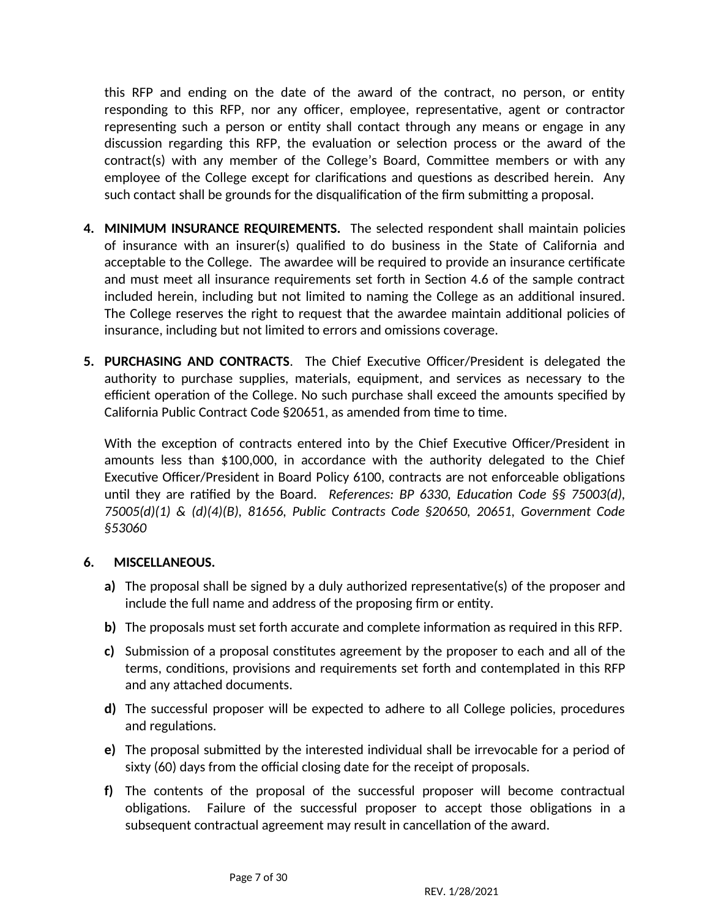this RFP and ending on the date of the award of the contract, no person, or entity responding to this RFP, nor any officer, employee, representative, agent or contractor representing such a person or entity shall contact through any means or engage in any discussion regarding this RFP, the evaluation or selection process or the award of the contract(s) with any member of the College's Board, Committee members or with any employee of the College except for clarifications and questions as described herein. Any such contact shall be grounds for the disqualification of the firm submitting a proposal.

- **4. MINIMUM INSURANCE REQUIREMENTS.** The selected respondent shall maintain policies of insurance with an insurer(s) qualified to do business in the State of California and acceptable to the College. The awardee will be required to provide an insurance certificate and must meet all insurance requirements set forth in Section 4.6 of the sample contract included herein, including but not limited to naming the College as an additional insured. The College reserves the right to request that the awardee maintain additional policies of insurance, including but not limited to errors and omissions coverage.
- **5. PURCHASING AND CONTRACTS**. The Chief Executive Officer/President is delegated the authority to purchase supplies, materials, equipment, and services as necessary to the efficient operation of the College. No such purchase shall exceed the amounts specified by California Public Contract Code §20651, as amended from time to time.

With the exception of contracts entered into by the Chief Executive Officer/President in amounts less than \$100,000, in accordance with the authority delegated to the Chief Executive Officer/President in Board Policy 6100, contracts are not enforceable obligations until they are ratified by the Board. *References: BP 6330, Education Code §§ 75003(d), 75005(d)(1) & (d)(4)(B), 81656, Public Contracts Code §20650, 20651, Government Code §53060*

#### **6. MISCELLANEOUS.**

- **a)** The proposal shall be signed by a duly authorized representative(s) of the proposer and include the full name and address of the proposing firm or entity.
- **b)** The proposals must set forth accurate and complete information as required in this RFP.
- **c)** Submission of a proposal constitutes agreement by the proposer to each and all of the terms, conditions, provisions and requirements set forth and contemplated in this RFP and any attached documents.
- **d)** The successful proposer will be expected to adhere to all College policies, procedures and regulations.
- **e)** The proposal submitted by the interested individual shall be irrevocable for a period of sixty (60) days from the official closing date for the receipt of proposals.
- **f)** The contents of the proposal of the successful proposer will become contractual obligations. Failure of the successful proposer to accept those obligations in a subsequent contractual agreement may result in cancellation of the award.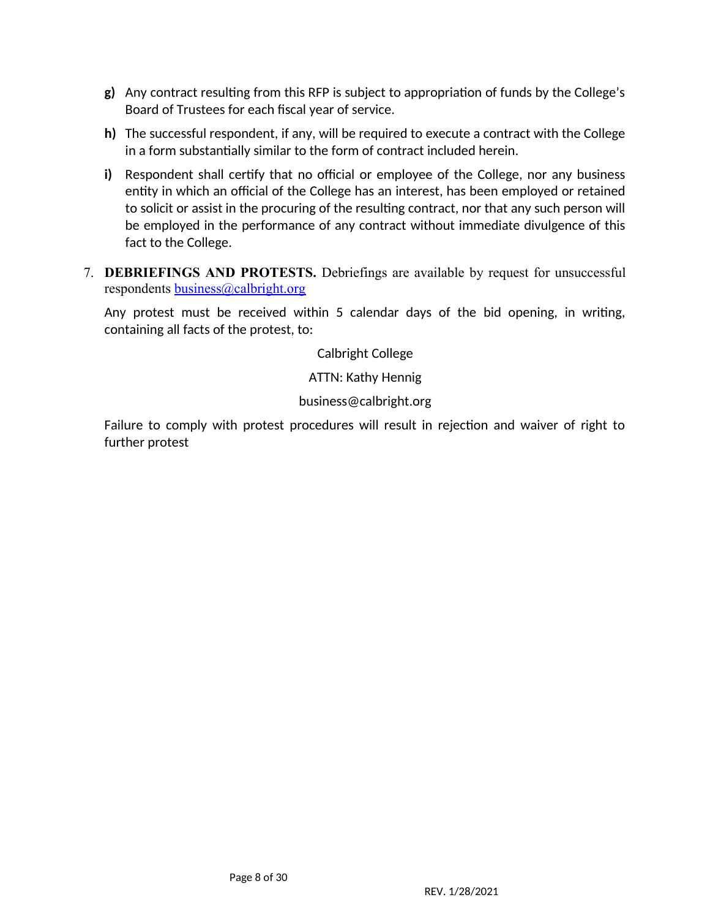- **g)** Any contract resulting from this RFP is subject to appropriation of funds by the College's Board of Trustees for each fiscal year of service.
- **h)** The successful respondent, if any, will be required to execute a contract with the College in a form substantially similar to the form of contract included herein.
- **i)** Respondent shall certify that no official or employee of the College, nor any business entity in which an official of the College has an interest, has been employed or retained to solicit or assist in the procuring of the resulting contract, nor that any such person will be employed in the performance of any contract without immediate divulgence of this fact to the College.
- 7. **DEBRIEFINGS AND PROTESTS.** Debriefings are available by request for unsuccessful respondents [business@calbright.org](file:////usr/tmp/http:%2F%2Fbusiness@calbright.org)

Any protest must be received within 5 calendar days of the bid opening, in writing, containing all facts of the protest, to:

Calbright College

ATTN: Kathy Hennig

#### business@calbright.org

Failure to comply with protest procedures will result in rejection and waiver of right to further protest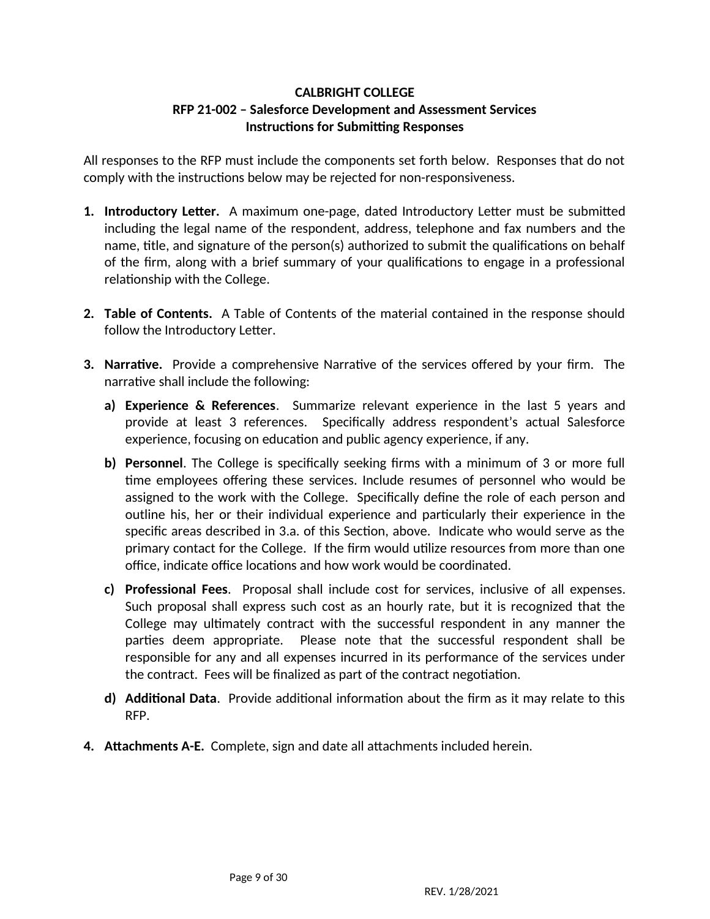# **CALBRIGHT COLLEGE RFP 21-002 – Salesforce Development and Assessment Services Instructions for Submitting Responses**

All responses to the RFP must include the components set forth below. Responses that do not comply with the instructions below may be rejected for non-responsiveness.

- **1. Introductory Letter.** A maximum one-page, dated Introductory Letter must be submitted including the legal name of the respondent, address, telephone and fax numbers and the name, title, and signature of the person(s) authorized to submit the qualifications on behalf of the firm, along with a brief summary of your qualifications to engage in a professional relationship with the College.
- **2. Table of Contents.** A Table of Contents of the material contained in the response should follow the Introductory Letter.
- **3. Narrative.** Provide a comprehensive Narrative of the services offered by your firm. The narrative shall include the following:
	- **a) Experience & References**. Summarize relevant experience in the last 5 years and provide at least 3 references. Specifically address respondent's actual Salesforce experience, focusing on education and public agency experience, if any.
	- **b) Personnel**. The College is specifically seeking firms with a minimum of 3 or more full time employees offering these services. Include resumes of personnel who would be assigned to the work with the College. Specifically define the role of each person and outline his, her or their individual experience and particularly their experience in the specific areas described in 3.a. of this Section, above. Indicate who would serve as the primary contact for the College. If the firm would utilize resources from more than one office, indicate office locations and how work would be coordinated.
	- **c) Professional Fees**. Proposal shall include cost for services, inclusive of all expenses. Such proposal shall express such cost as an hourly rate, but it is recognized that the College may ultimately contract with the successful respondent in any manner the parties deem appropriate. Please note that the successful respondent shall be responsible for any and all expenses incurred in its performance of the services under the contract. Fees will be finalized as part of the contract negotiation.
	- **d) Additional Data**. Provide additional information about the firm as it may relate to this RFP.
- **4. Attachments A-E.** Complete, sign and date all attachments included herein.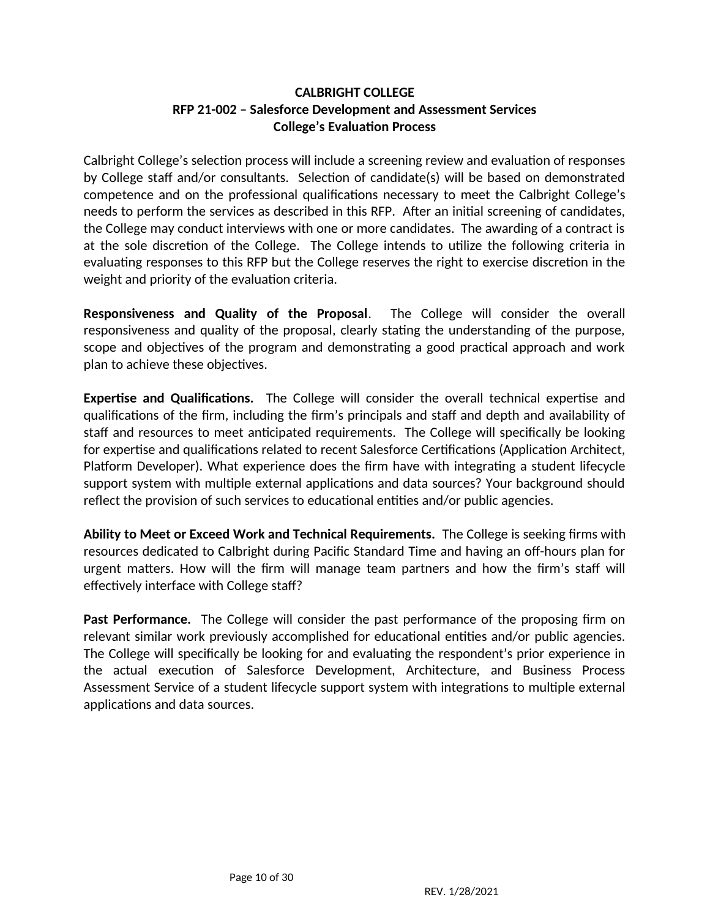# **CALBRIGHT COLLEGE RFP 21-002 – Salesforce Development and Assessment Services College's Evaluation Process**

Calbright College's selection process will include a screening review and evaluation of responses by College staff and/or consultants. Selection of candidate(s) will be based on demonstrated competence and on the professional qualifications necessary to meet the Calbright College's needs to perform the services as described in this RFP. After an initial screening of candidates, the College may conduct interviews with one or more candidates. The awarding of a contract is at the sole discretion of the College. The College intends to utilize the following criteria in evaluating responses to this RFP but the College reserves the right to exercise discretion in the weight and priority of the evaluation criteria.

**Responsiveness and Quality of the Proposal**. The College will consider the overall responsiveness and quality of the proposal, clearly stating the understanding of the purpose, scope and objectives of the program and demonstrating a good practical approach and work plan to achieve these objectives.

**Expertise and Qualifications.** The College will consider the overall technical expertise and qualifications of the firm, including the firm's principals and staff and depth and availability of staff and resources to meet anticipated requirements. The College will specifically be looking for expertise and qualifications related to recent Salesforce Certifications (Application Architect, Platform Developer). What experience does the firm have with integrating a student lifecycle support system with multiple external applications and data sources? Your background should reflect the provision of such services to educational entities and/or public agencies.

**Ability to Meet or Exceed Work and Technical Requirements.** The College is seeking firms with resources dedicated to Calbright during Pacific Standard Time and having an off-hours plan for urgent matters. How will the firm will manage team partners and how the firm's staff will effectively interface with College staff?

**Past Performance.** The College will consider the past performance of the proposing firm on relevant similar work previously accomplished for educational entities and/or public agencies. The College will specifically be looking for and evaluating the respondent's prior experience in the actual execution of Salesforce Development, Architecture, and Business Process Assessment Service of a student lifecycle support system with integrations to multiple external applications and data sources.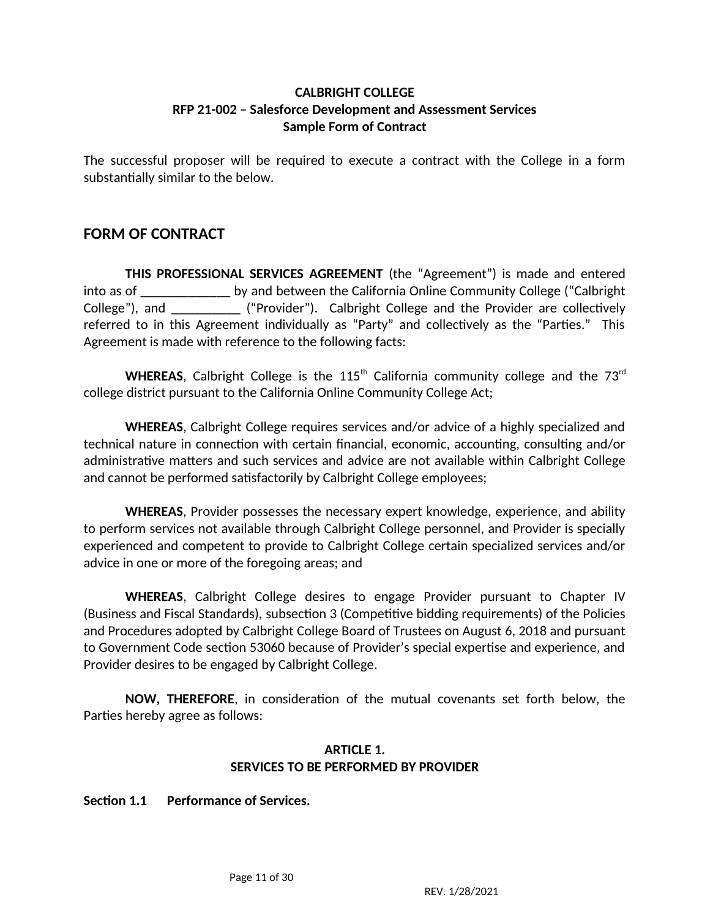# **CALBRIGHT COLLEGE RFP 21-002 – Salesforce Development and Assessment Services Sample Form of Contract**

The successful proposer will be required to execute a contract with the College in a form substantially similar to the below.

# **FORM OF CONTRACT**

**THIS PROFESSIONAL SERVICES AGREEMENT** (the "Agreement") is made and entered into as of **\_\_\_\_\_\_\_\_\_\_\_\_\_** by and between the California Online Community College ("Calbright College"), and **\_\_\_\_\_\_\_\_\_\_** ("Provider"). Calbright College and the Provider are collectively referred to in this Agreement individually as "Party" and collectively as the "Parties." This Agreement is made with reference to the following facts:

WHEREAS, Calbright College is the 115<sup>th</sup> California community college and the 73<sup>rd</sup> college district pursuant to the California Online Community College Act;

**WHEREAS**, Calbright College requires services and/or advice of a highly specialized and technical nature in connection with certain financial, economic, accounting, consulting and/or administrative matters and such services and advice are not available within Calbright College and cannot be performed satisfactorily by Calbright College employees;

**WHEREAS**, Provider possesses the necessary expert knowledge, experience, and ability to perform services not available through Calbright College personnel, and Provider is specially experienced and competent to provide to Calbright College certain specialized services and/or advice in one or more of the foregoing areas; and

**WHEREAS**, Calbright College desires to engage Provider pursuant to Chapter IV (Business and Fiscal Standards), subsection 3 (Competitive bidding requirements) of the Policies and Procedures adopted by Calbright College Board of Trustees on August 6, 2018 and pursuant to Government Code section 53060 because of Provider's special expertise and experience, and Provider desires to be engaged by Calbright College.

**NOW, THEREFORE**, in consideration of the mutual covenants set forth below, the Parties hereby agree as follows:

#### **ARTICLE 1. SERVICES TO BE PERFORMED BY PROVIDER**

#### **Section 1.1 Performance of Services.**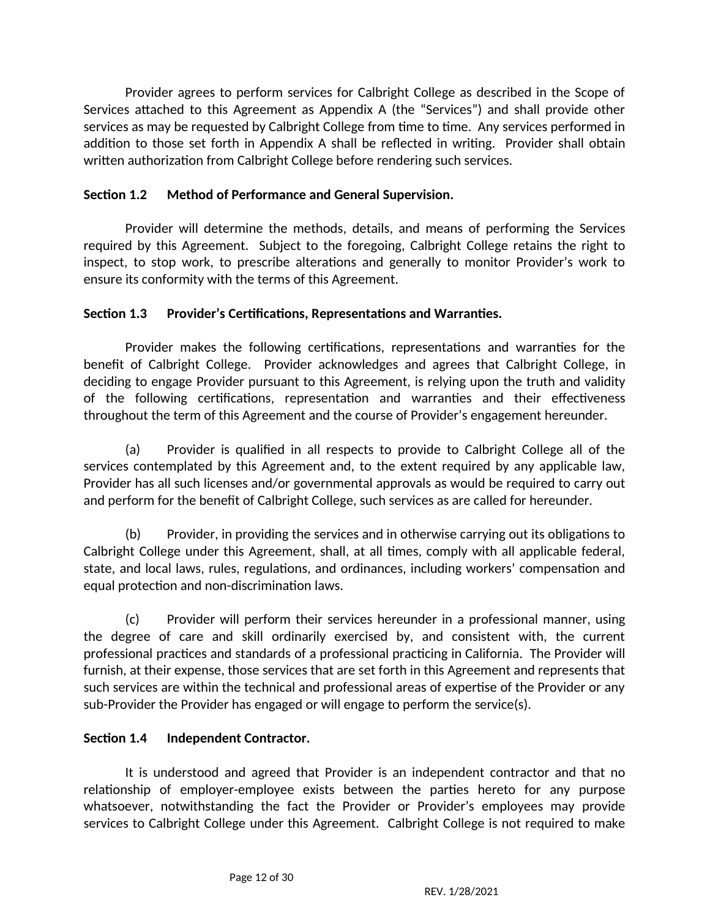Provider agrees to perform services for Calbright College as described in the Scope of Services attached to this Agreement as Appendix A (the "Services") and shall provide other services as may be requested by Calbright College from time to time. Any services performed in addition to those set forth in Appendix A shall be reflected in writing. Provider shall obtain written authorization from Calbright College before rendering such services.

# **Section 1.2 Method of Performance and General Supervision.**

Provider will determine the methods, details, and means of performing the Services required by this Agreement. Subject to the foregoing, Calbright College retains the right to inspect, to stop work, to prescribe alterations and generally to monitor Provider's work to ensure its conformity with the terms of this Agreement.

# **Section 1.3 Provider's Certifications, Representations and Warranties.**

Provider makes the following certifications, representations and warranties for the benefit of Calbright College. Provider acknowledges and agrees that Calbright College, in deciding to engage Provider pursuant to this Agreement, is relying upon the truth and validity of the following certifications, representation and warranties and their effectiveness throughout the term of this Agreement and the course of Provider's engagement hereunder.

(a) Provider is qualified in all respects to provide to Calbright College all of the services contemplated by this Agreement and, to the extent required by any applicable law, Provider has all such licenses and/or governmental approvals as would be required to carry out and perform for the benefit of Calbright College, such services as are called for hereunder.

(b) Provider, in providing the services and in otherwise carrying out its obligations to Calbright College under this Agreement, shall, at all times, comply with all applicable federal, state, and local laws, rules, regulations, and ordinances, including workers' compensation and equal protection and non-discrimination laws.

(c) Provider will perform their services hereunder in a professional manner, using the degree of care and skill ordinarily exercised by, and consistent with, the current professional practices and standards of a professional practicing in California. The Provider will furnish, at their expense, those services that are set forth in this Agreement and represents that such services are within the technical and professional areas of expertise of the Provider or any sub-Provider the Provider has engaged or will engage to perform the service(s).

# **Section 1.4 Independent Contractor.**

It is understood and agreed that Provider is an independent contractor and that no relationship of employer-employee exists between the parties hereto for any purpose whatsoever, notwithstanding the fact the Provider or Provider's employees may provide services to Calbright College under this Agreement. Calbright College is not required to make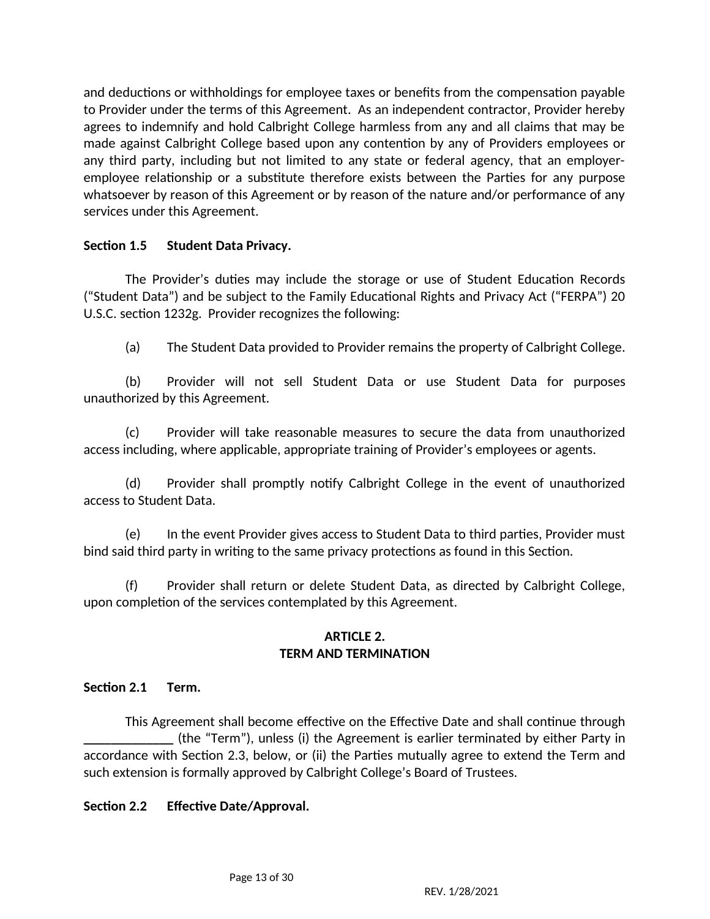and deductions or withholdings for employee taxes or benefits from the compensation payable to Provider under the terms of this Agreement. As an independent contractor, Provider hereby agrees to indemnify and hold Calbright College harmless from any and all claims that may be made against Calbright College based upon any contention by any of Providers employees or any third party, including but not limited to any state or federal agency, that an employeremployee relationship or a substitute therefore exists between the Parties for any purpose whatsoever by reason of this Agreement or by reason of the nature and/or performance of any services under this Agreement.

#### **Section 1.5 Student Data Privacy.**

The Provider's duties may include the storage or use of Student Education Records ("Student Data") and be subject to the Family Educational Rights and Privacy Act ("FERPA") 20 U.S.C. section 1232g. Provider recognizes the following:

(a) The Student Data provided to Provider remains the property of Calbright College.

(b) Provider will not sell Student Data or use Student Data for purposes unauthorized by this Agreement.

(c) Provider will take reasonable measures to secure the data from unauthorized access including, where applicable, appropriate training of Provider's employees or agents.

(d) Provider shall promptly notify Calbright College in the event of unauthorized access to Student Data.

(e) In the event Provider gives access to Student Data to third parties, Provider must bind said third party in writing to the same privacy protections as found in this Section.

(f) Provider shall return or delete Student Data, as directed by Calbright College, upon completion of the services contemplated by this Agreement.

#### **ARTICLE 2. TERM AND TERMINATION**

#### **Section 2.1 Term.**

This Agreement shall become effective on the Effective Date and shall continue through **\_\_\_\_\_\_\_\_\_\_\_\_\_** (the "Term"), unless (i) the Agreement is earlier terminated by either Party in accordance with Section 2.3, below, or (ii) the Parties mutually agree to extend the Term and such extension is formally approved by Calbright College's Board of Trustees.

#### **Section 2.2 Effective Date/Approval.**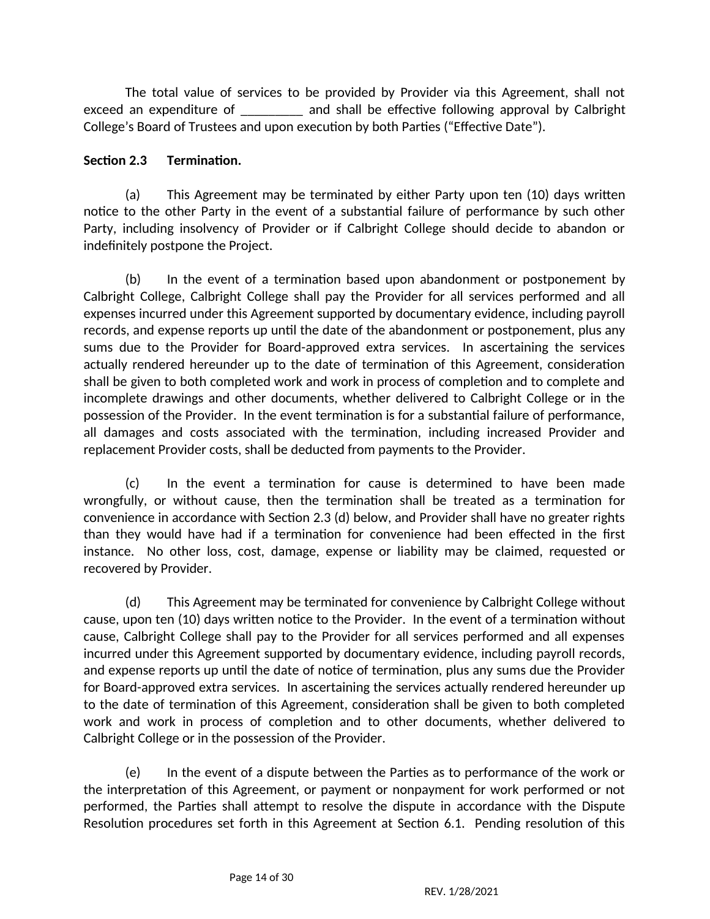The total value of services to be provided by Provider via this Agreement, shall not exceed an expenditure of \_\_\_\_\_\_\_\_ and shall be effective following approval by Calbright College's Board of Trustees and upon execution by both Parties ("Effective Date").

# **Section 2.3 Termination.**

(a) This Agreement may be terminated by either Party upon ten (10) days written notice to the other Party in the event of a substantial failure of performance by such other Party, including insolvency of Provider or if Calbright College should decide to abandon or indefinitely postpone the Project.

(b) In the event of a termination based upon abandonment or postponement by Calbright College, Calbright College shall pay the Provider for all services performed and all expenses incurred under this Agreement supported by documentary evidence, including payroll records, and expense reports up until the date of the abandonment or postponement, plus any sums due to the Provider for Board-approved extra services. In ascertaining the services actually rendered hereunder up to the date of termination of this Agreement, consideration shall be given to both completed work and work in process of completion and to complete and incomplete drawings and other documents, whether delivered to Calbright College or in the possession of the Provider. In the event termination is for a substantial failure of performance, all damages and costs associated with the termination, including increased Provider and replacement Provider costs, shall be deducted from payments to the Provider.

(c) In the event a termination for cause is determined to have been made wrongfully, or without cause, then the termination shall be treated as a termination for convenience in accordance with Section 2.3 (d) below, and Provider shall have no greater rights than they would have had if a termination for convenience had been effected in the first instance. No other loss, cost, damage, expense or liability may be claimed, requested or recovered by Provider.

(d) This Agreement may be terminated for convenience by Calbright College without cause, upon ten (10) days written notice to the Provider. In the event of a termination without cause, Calbright College shall pay to the Provider for all services performed and all expenses incurred under this Agreement supported by documentary evidence, including payroll records, and expense reports up until the date of notice of termination, plus any sums due the Provider for Board-approved extra services. In ascertaining the services actually rendered hereunder up to the date of termination of this Agreement, consideration shall be given to both completed work and work in process of completion and to other documents, whether delivered to Calbright College or in the possession of the Provider.

(e) In the event of a dispute between the Parties as to performance of the work or the interpretation of this Agreement, or payment or nonpayment for work performed or not performed, the Parties shall attempt to resolve the dispute in accordance with the Dispute Resolution procedures set forth in this Agreement at Section 6.1. Pending resolution of this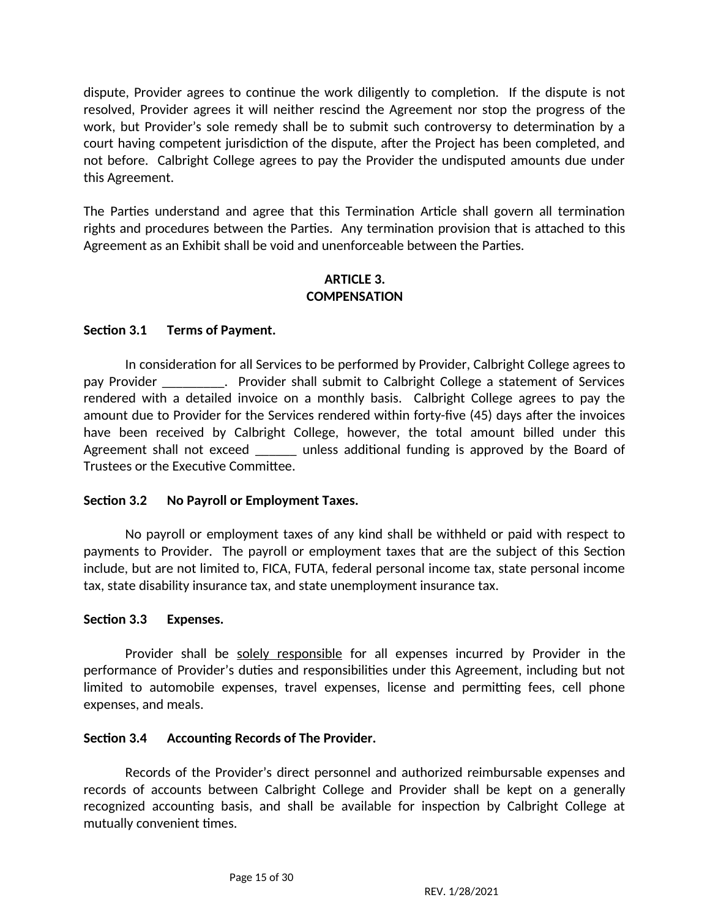dispute, Provider agrees to continue the work diligently to completion. If the dispute is not resolved, Provider agrees it will neither rescind the Agreement nor stop the progress of the work, but Provider's sole remedy shall be to submit such controversy to determination by a court having competent jurisdiction of the dispute, after the Project has been completed, and not before. Calbright College agrees to pay the Provider the undisputed amounts due under this Agreement.

The Parties understand and agree that this Termination Article shall govern all termination rights and procedures between the Parties. Any termination provision that is attached to this Agreement as an Exhibit shall be void and unenforceable between the Parties.

### **ARTICLE 3. COMPENSATION**

#### **Section 3.1 Terms of Payment.**

In consideration for all Services to be performed by Provider, Calbright College agrees to pay Provider \_\_\_\_\_\_\_\_\_. Provider shall submit to Calbright College a statement of Services rendered with a detailed invoice on a monthly basis. Calbright College agrees to pay the amount due to Provider for the Services rendered within forty-five (45) days after the invoices have been received by Calbright College, however, the total amount billed under this Agreement shall not exceed \_\_\_\_\_\_ unless additional funding is approved by the Board of Trustees or the Executive Committee.

#### **Section 3.2 No Payroll or Employment Taxes.**

No payroll or employment taxes of any kind shall be withheld or paid with respect to payments to Provider. The payroll or employment taxes that are the subject of this Section include, but are not limited to, FICA, FUTA, federal personal income tax, state personal income tax, state disability insurance tax, and state unemployment insurance tax.

#### **Section 3.3 Expenses.**

Provider shall be solely responsible for all expenses incurred by Provider in the performance of Provider's duties and responsibilities under this Agreement, including but not limited to automobile expenses, travel expenses, license and permitting fees, cell phone expenses, and meals.

#### **Section 3.4 Accounting Records of The Provider.**

Records of the Provider's direct personnel and authorized reimbursable expenses and records of accounts between Calbright College and Provider shall be kept on a generally recognized accounting basis, and shall be available for inspection by Calbright College at mutually convenient times.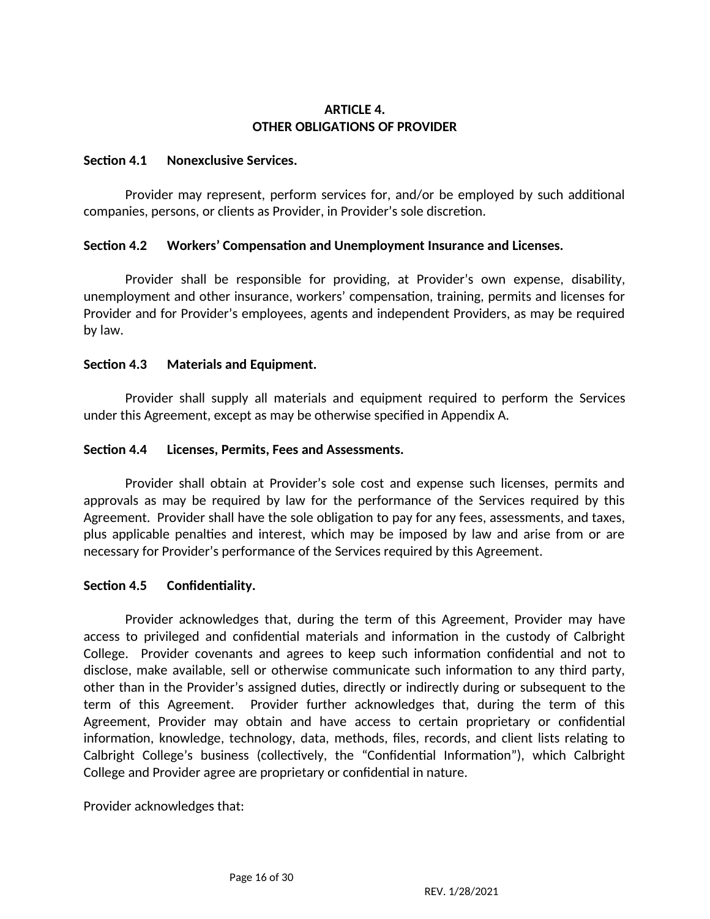# **ARTICLE 4. OTHER OBLIGATIONS OF PROVIDER**

#### **Section 4.1 Nonexclusive Services.**

Provider may represent, perform services for, and/or be employed by such additional companies, persons, or clients as Provider, in Provider's sole discretion.

# **Section 4.2 Workers' Compensation and Unemployment Insurance and Licenses.**

Provider shall be responsible for providing, at Provider's own expense, disability, unemployment and other insurance, workers' compensation, training, permits and licenses for Provider and for Provider's employees, agents and independent Providers, as may be required by law.

#### **Section 4.3 Materials and Equipment.**

Provider shall supply all materials and equipment required to perform the Services under this Agreement, except as may be otherwise specified in Appendix A.

#### **Section 4.4 Licenses, Permits, Fees and Assessments.**

Provider shall obtain at Provider's sole cost and expense such licenses, permits and approvals as may be required by law for the performance of the Services required by this Agreement. Provider shall have the sole obligation to pay for any fees, assessments, and taxes, plus applicable penalties and interest, which may be imposed by law and arise from or are necessary for Provider's performance of the Services required by this Agreement.

#### **Section 4.5 Confidentiality.**

Provider acknowledges that, during the term of this Agreement, Provider may have access to privileged and confidential materials and information in the custody of Calbright College. Provider covenants and agrees to keep such information confidential and not to disclose, make available, sell or otherwise communicate such information to any third party, other than in the Provider's assigned duties, directly or indirectly during or subsequent to the term of this Agreement. Provider further acknowledges that, during the term of this Agreement, Provider may obtain and have access to certain proprietary or confidential information, knowledge, technology, data, methods, files, records, and client lists relating to Calbright College's business (collectively, the "Confidential Information"), which Calbright College and Provider agree are proprietary or confidential in nature.

Provider acknowledges that: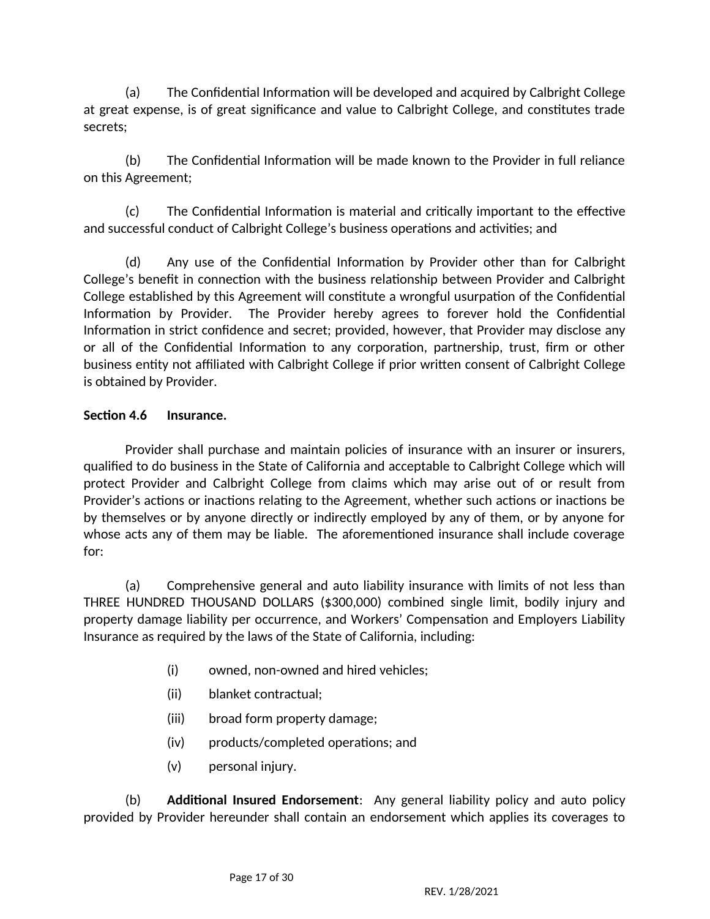(a) The Confidential Information will be developed and acquired by Calbright College at great expense, is of great significance and value to Calbright College, and constitutes trade secrets;

(b) The Confidential Information will be made known to the Provider in full reliance on this Agreement;

(c) The Confidential Information is material and critically important to the effective and successful conduct of Calbright College's business operations and activities; and

(d) Any use of the Confidential Information by Provider other than for Calbright College's benefit in connection with the business relationship between Provider and Calbright College established by this Agreement will constitute a wrongful usurpation of the Confidential Information by Provider. The Provider hereby agrees to forever hold the Confidential Information in strict confidence and secret; provided, however, that Provider may disclose any or all of the Confidential Information to any corporation, partnership, trust, firm or other business entity not affiliated with Calbright College if prior written consent of Calbright College is obtained by Provider.

# **Section 4.6 Insurance.**

Provider shall purchase and maintain policies of insurance with an insurer or insurers, qualified to do business in the State of California and acceptable to Calbright College which will protect Provider and Calbright College from claims which may arise out of or result from Provider's actions or inactions relating to the Agreement, whether such actions or inactions be by themselves or by anyone directly or indirectly employed by any of them, or by anyone for whose acts any of them may be liable. The aforementioned insurance shall include coverage for:

(a) Comprehensive general and auto liability insurance with limits of not less than THREE HUNDRED THOUSAND DOLLARS (\$300,000) combined single limit, bodily injury and property damage liability per occurrence, and Workers' Compensation and Employers Liability Insurance as required by the laws of the State of California, including:

- (i) owned, non-owned and hired vehicles;
- (ii) blanket contractual;
- (iii) broad form property damage;
- (iv) products/completed operations; and
- (v) personal injury.

(b) **Additional Insured Endorsement**: Any general liability policy and auto policy provided by Provider hereunder shall contain an endorsement which applies its coverages to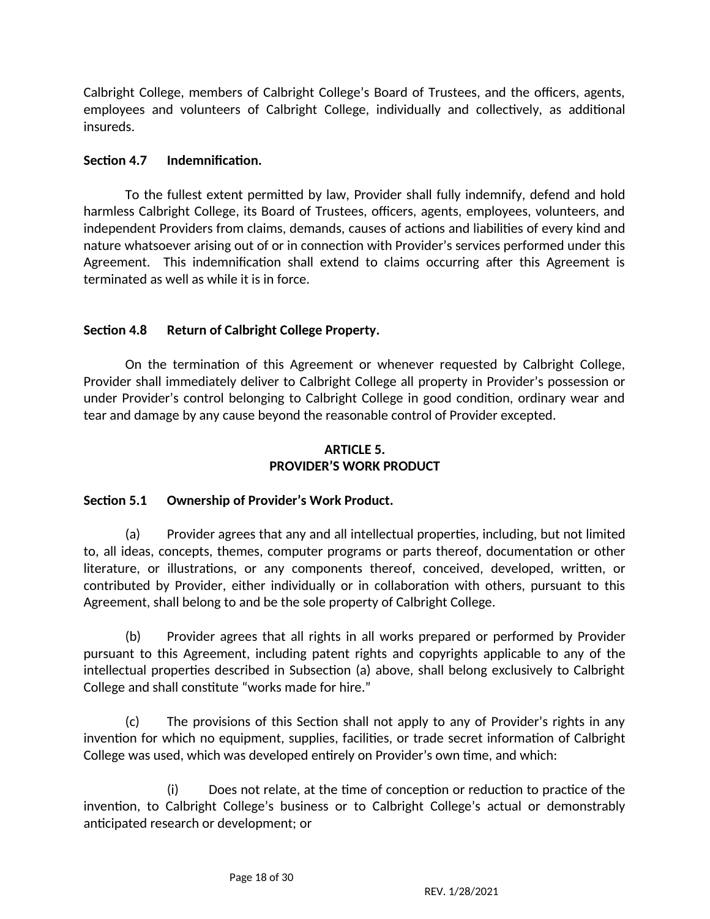Calbright College, members of Calbright College's Board of Trustees, and the officers, agents, employees and volunteers of Calbright College, individually and collectively, as additional insureds.

# **Section 4.7 Indemnification.**

To the fullest extent permitted by law, Provider shall fully indemnify, defend and hold harmless Calbright College, its Board of Trustees, officers, agents, employees, volunteers, and independent Providers from claims, demands, causes of actions and liabilities of every kind and nature whatsoever arising out of or in connection with Provider's services performed under this Agreement. This indemnification shall extend to claims occurring after this Agreement is terminated as well as while it is in force.

# **Section 4.8 Return of Calbright College Property.**

On the termination of this Agreement or whenever requested by Calbright College, Provider shall immediately deliver to Calbright College all property in Provider's possession or under Provider's control belonging to Calbright College in good condition, ordinary wear and tear and damage by any cause beyond the reasonable control of Provider excepted.

#### **ARTICLE 5. PROVIDER'S WORK PRODUCT**

# **Section 5.1 Ownership of Provider's Work Product.**

(a) Provider agrees that any and all intellectual properties, including, but not limited to, all ideas, concepts, themes, computer programs or parts thereof, documentation or other literature, or illustrations, or any components thereof, conceived, developed, written, or contributed by Provider, either individually or in collaboration with others, pursuant to this Agreement, shall belong to and be the sole property of Calbright College.

(b) Provider agrees that all rights in all works prepared or performed by Provider pursuant to this Agreement, including patent rights and copyrights applicable to any of the intellectual properties described in Subsection (a) above, shall belong exclusively to Calbright College and shall constitute "works made for hire."

(c) The provisions of this Section shall not apply to any of Provider's rights in any invention for which no equipment, supplies, facilities, or trade secret information of Calbright College was used, which was developed entirely on Provider's own time, and which:

(i) Does not relate, at the time of conception or reduction to practice of the invention, to Calbright College's business or to Calbright College's actual or demonstrably anticipated research or development; or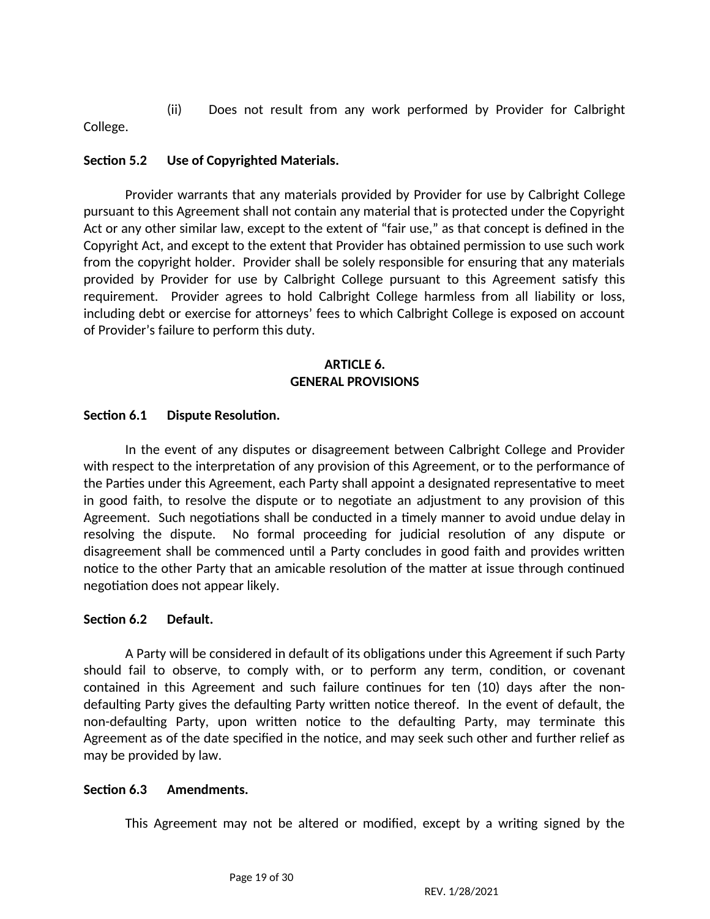(ii) Does not result from any work performed by Provider for Calbright

College.

#### **Section 5.2 Use of Copyrighted Materials.**

Provider warrants that any materials provided by Provider for use by Calbright College pursuant to this Agreement shall not contain any material that is protected under the Copyright Act or any other similar law, except to the extent of "fair use," as that concept is defined in the Copyright Act, and except to the extent that Provider has obtained permission to use such work from the copyright holder. Provider shall be solely responsible for ensuring that any materials provided by Provider for use by Calbright College pursuant to this Agreement satisfy this requirement. Provider agrees to hold Calbright College harmless from all liability or loss, including debt or exercise for attorneys' fees to which Calbright College is exposed on account of Provider's failure to perform this duty.

# **ARTICLE 6. GENERAL PROVISIONS**

#### **Section 6.1 Dispute Resolution.**

In the event of any disputes or disagreement between Calbright College and Provider with respect to the interpretation of any provision of this Agreement, or to the performance of the Parties under this Agreement, each Party shall appoint a designated representative to meet in good faith, to resolve the dispute or to negotiate an adjustment to any provision of this Agreement. Such negotiations shall be conducted in a timely manner to avoid undue delay in resolving the dispute. No formal proceeding for judicial resolution of any dispute or disagreement shall be commenced until a Party concludes in good faith and provides written notice to the other Party that an amicable resolution of the matter at issue through continued negotiation does not appear likely.

#### **Section 6.2 Default.**

A Party will be considered in default of its obligations under this Agreement if such Party should fail to observe, to comply with, or to perform any term, condition, or covenant contained in this Agreement and such failure continues for ten (10) days after the nondefaulting Party gives the defaulting Party written notice thereof. In the event of default, the non-defaulting Party, upon written notice to the defaulting Party, may terminate this Agreement as of the date specified in the notice, and may seek such other and further relief as may be provided by law.

#### **Section 6.3 Amendments.**

This Agreement may not be altered or modified, except by a writing signed by the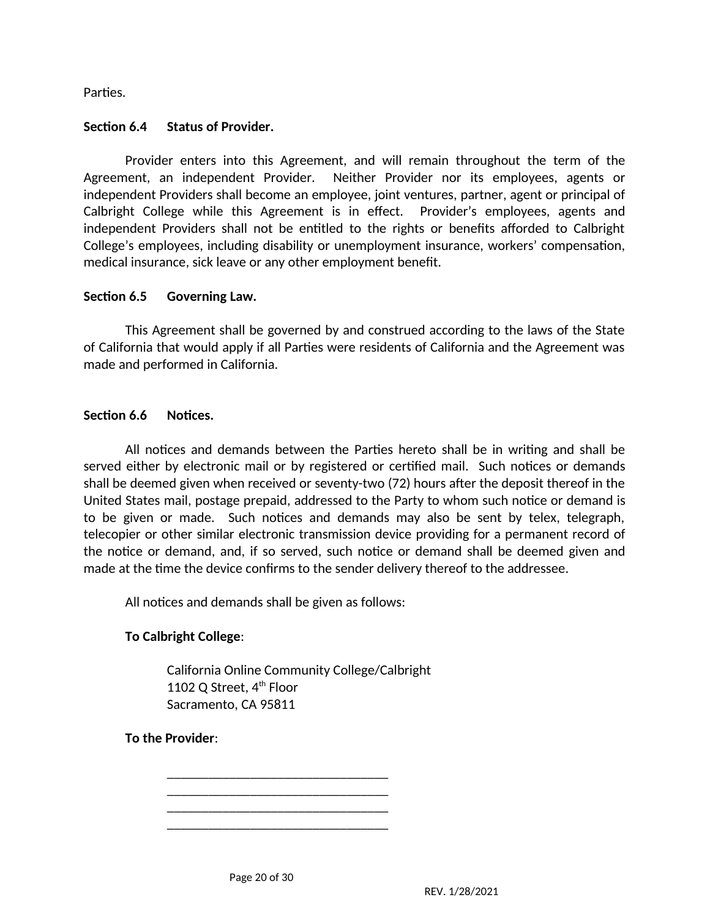Parties.

#### **Section 6.4 Status of Provider.**

Provider enters into this Agreement, and will remain throughout the term of the Agreement, an independent Provider. Neither Provider nor its employees, agents or independent Providers shall become an employee, joint ventures, partner, agent or principal of Calbright College while this Agreement is in effect. Provider's employees, agents and independent Providers shall not be entitled to the rights or benefits afforded to Calbright College's employees, including disability or unemployment insurance, workers' compensation, medical insurance, sick leave or any other employment benefit.

#### **Section 6.5 Governing Law.**

This Agreement shall be governed by and construed according to the laws of the State of California that would apply if all Parties were residents of California and the Agreement was made and performed in California.

#### **Section 6.6 Notices.**

All notices and demands between the Parties hereto shall be in writing and shall be served either by electronic mail or by registered or certified mail. Such notices or demands shall be deemed given when received or seventy-two (72) hours after the deposit thereof in the United States mail, postage prepaid, addressed to the Party to whom such notice or demand is to be given or made. Such notices and demands may also be sent by telex, telegraph, telecopier or other similar electronic transmission device providing for a permanent record of the notice or demand, and, if so served, such notice or demand shall be deemed given and made at the time the device confirms to the sender delivery thereof to the addressee.

All notices and demands shall be given as follows:

# **To Calbright College**:

California Online Community College/Calbright 1102 Q Street,  $4<sup>th</sup>$  Floor Sacramento, CA 95811

**To the Provider**:

Page 20 of 30

\_\_\_\_\_\_\_\_\_\_\_\_\_\_\_\_\_\_\_\_\_\_\_\_\_\_\_\_\_\_\_\_ \_\_\_\_\_\_\_\_\_\_\_\_\_\_\_\_\_\_\_\_\_\_\_\_\_\_\_\_\_\_\_\_ \_\_\_\_\_\_\_\_\_\_\_\_\_\_\_\_\_\_\_\_\_\_\_\_\_\_\_\_\_\_\_\_ \_\_\_\_\_\_\_\_\_\_\_\_\_\_\_\_\_\_\_\_\_\_\_\_\_\_\_\_\_\_\_\_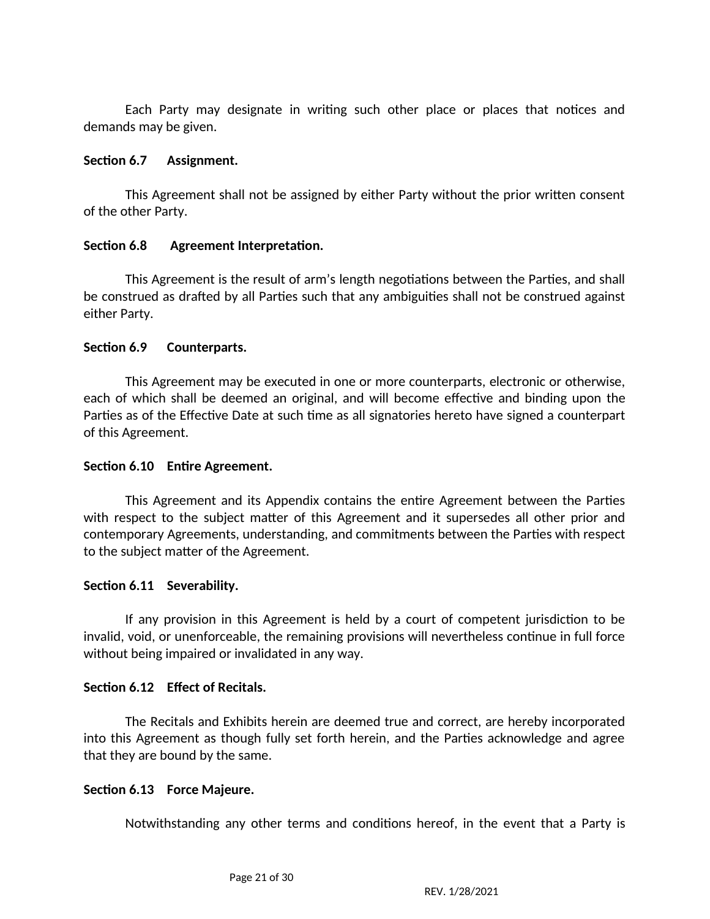Each Party may designate in writing such other place or places that notices and demands may be given.

#### **Section 6.7 Assignment.**

This Agreement shall not be assigned by either Party without the prior written consent of the other Party.

# **Section 6.8 Agreement Interpretation.**

This Agreement is the result of arm's length negotiations between the Parties, and shall be construed as drafted by all Parties such that any ambiguities shall not be construed against either Party.

#### **Section 6.9 Counterparts.**

This Agreement may be executed in one or more counterparts, electronic or otherwise, each of which shall be deemed an original, and will become effective and binding upon the Parties as of the Effective Date at such time as all signatories hereto have signed a counterpart of this Agreement.

#### **Section 6.10 Entire Agreement.**

This Agreement and its Appendix contains the entire Agreement between the Parties with respect to the subject matter of this Agreement and it supersedes all other prior and contemporary Agreements, understanding, and commitments between the Parties with respect to the subject matter of the Agreement.

#### **Section 6.11 Severability.**

If any provision in this Agreement is held by a court of competent jurisdiction to be invalid, void, or unenforceable, the remaining provisions will nevertheless continue in full force without being impaired or invalidated in any way.

#### **Section 6.12 Effect of Recitals.**

The Recitals and Exhibits herein are deemed true and correct, are hereby incorporated into this Agreement as though fully set forth herein, and the Parties acknowledge and agree that they are bound by the same.

#### **Section 6.13 Force Majeure.**

Notwithstanding any other terms and conditions hereof, in the event that a Party is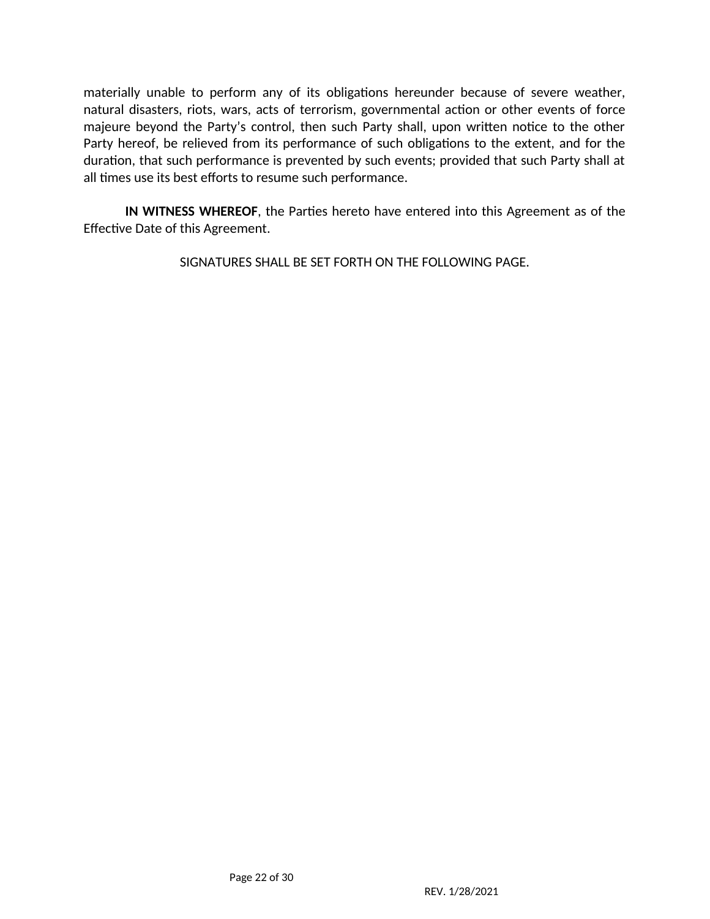materially unable to perform any of its obligations hereunder because of severe weather, natural disasters, riots, wars, acts of terrorism, governmental action or other events of force majeure beyond the Party's control, then such Party shall, upon written notice to the other Party hereof, be relieved from its performance of such obligations to the extent, and for the duration, that such performance is prevented by such events; provided that such Party shall at all times use its best efforts to resume such performance.

**IN WITNESS WHEREOF**, the Parties hereto have entered into this Agreement as of the Effective Date of this Agreement.

SIGNATURES SHALL BE SET FORTH ON THE FOLLOWING PAGE.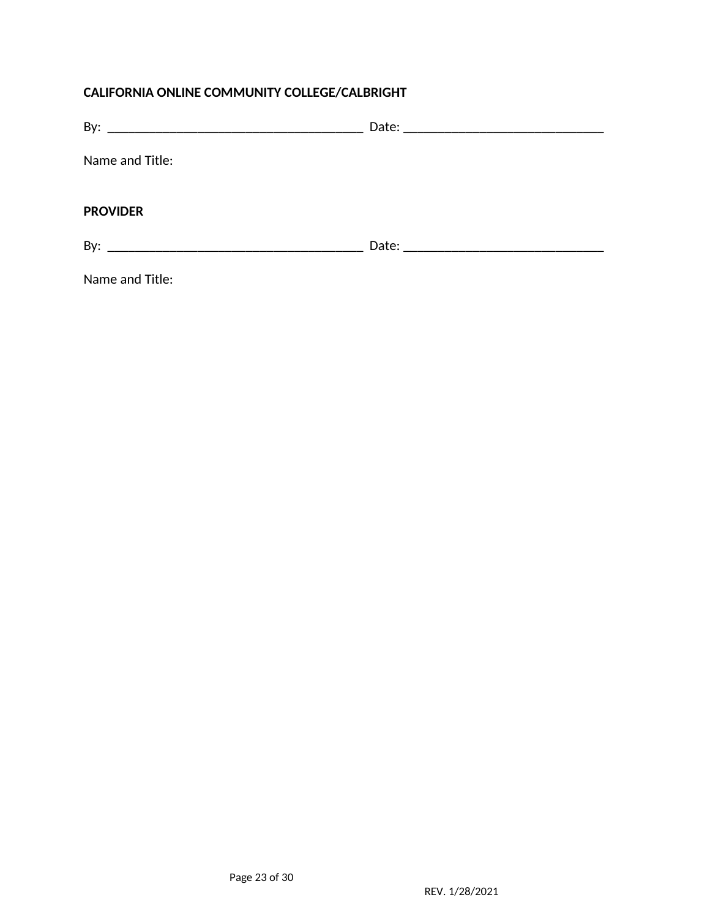# **CALIFORNIA ONLINE COMMUNITY COLLEGE/CALBRIGHT**

| Name and Title: |  |
|-----------------|--|
| <b>PROVIDER</b> |  |
|                 |  |
| Name and Title: |  |

Page 23 of 30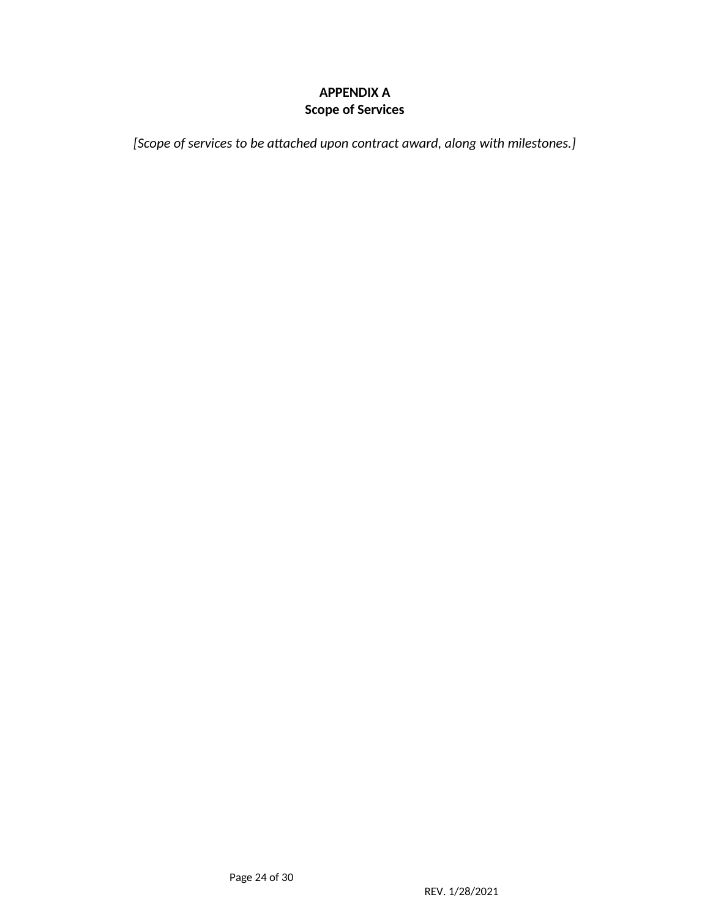# **APPENDIX A Scope of Services**

*[Scope of services to be attached upon contract award, along with milestones.]*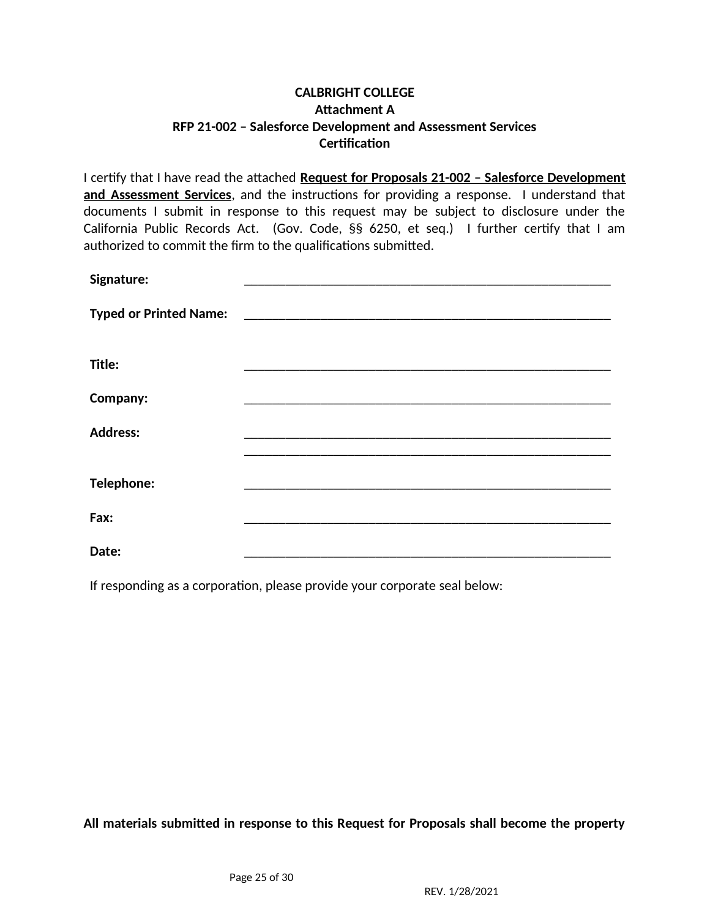# **CALBRIGHT COLLEGE Attachment A RFP 21-002 – Salesforce Development and Assessment Services Certification**

I certify that I have read the attached **Request for Proposals 21-002 – Salesforce Development and Assessment Services**, and the instructions for providing a response. I understand that documents I submit in response to this request may be subject to disclosure under the California Public Records Act. (Gov. Code, §§ 6250, et seq.) I further certify that I am authorized to commit the firm to the qualifications submitted.

| Signature:                    |  |
|-------------------------------|--|
|                               |  |
| <b>Typed or Printed Name:</b> |  |
|                               |  |
|                               |  |
| Title:                        |  |
|                               |  |
| Company:                      |  |
|                               |  |
| <b>Address:</b>               |  |
|                               |  |
|                               |  |
| Telephone:                    |  |
|                               |  |
| Fax:                          |  |
|                               |  |
| Date:                         |  |
|                               |  |

If responding as a corporation, please provide your corporate seal below:

**All materials submitted in response to this Request for Proposals shall become the property**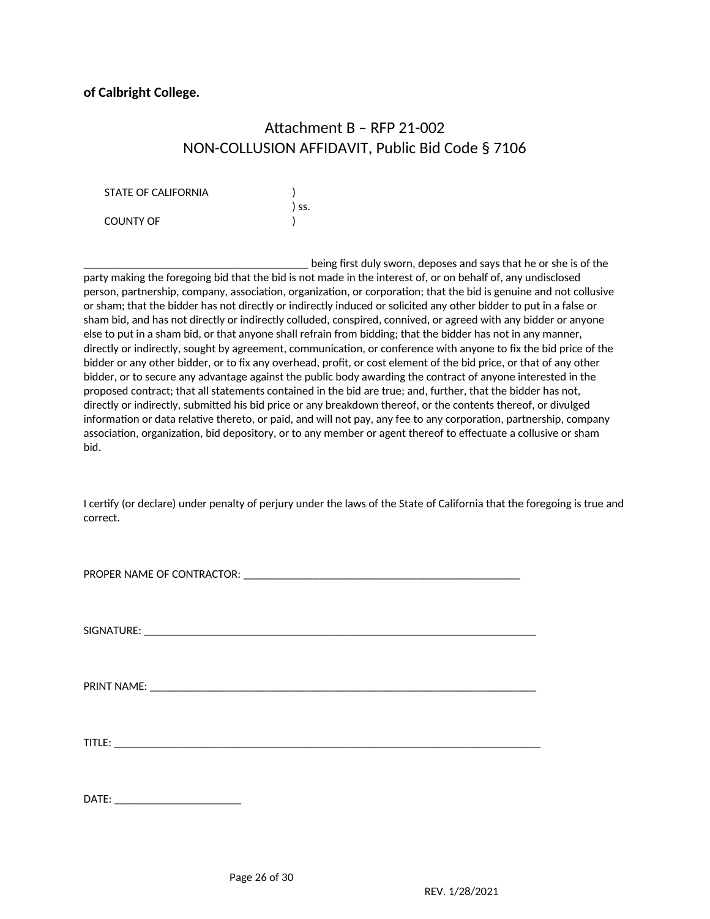#### **of Calbright College.**

# Attachment B – RFP 21-002 NON-COLLUSION AFFIDAVIT, Public Bid Code § 7106

STATE OF CALIFORNIA

) ss.  $\overline{\phantom{a}}$ COUNTY OF )

being first duly sworn, deposes and says that he or she is of the party making the foregoing bid that the bid is not made in the interest of, or on behalf of, any undisclosed person, partnership, company, association, organization, or corporation; that the bid is genuine and not collusive or sham; that the bidder has not directly or indirectly induced or solicited any other bidder to put in a false or sham bid, and has not directly or indirectly colluded, conspired, connived, or agreed with any bidder or anyone else to put in a sham bid, or that anyone shall refrain from bidding; that the bidder has not in any manner, directly or indirectly, sought by agreement, communication, or conference with anyone to fix the bid price of the bidder or any other bidder, or to fix any overhead, profit, or cost element of the bid price, or that of any other bidder, or to secure any advantage against the public body awarding the contract of anyone interested in the proposed contract; that all statements contained in the bid are true; and, further, that the bidder has not, directly or indirectly, submitted his bid price or any breakdown thereof, or the contents thereof, or divulged information or data relative thereto, or paid, and will not pay, any fee to any corporation, partnership, company association, organization, bid depository, or to any member or agent thereof to effectuate a collusive or sham bid.

I certify (or declare) under penalty of perjury under the laws of the State of California that the foregoing is true and correct.

PROPER NAME OF CONTRACTOR: \_\_\_\_\_\_\_\_\_\_\_\_\_\_\_\_\_\_\_\_\_\_\_\_\_\_\_\_\_\_\_\_\_\_\_\_\_\_\_\_\_\_\_\_\_\_\_\_

SIGNATURE: with the set of the set of the set of the set of the set of the set of the set of the set of the set of the set of the set of the set of the set of the set of the set of the set of the set of the set of the set

PRINT NAME: \_\_\_\_\_\_\_\_\_\_\_\_\_\_\_\_\_\_\_\_\_\_\_\_\_\_\_\_\_\_\_\_\_\_\_\_\_\_\_\_\_\_\_\_\_\_\_\_\_\_\_\_\_\_\_\_\_\_\_\_\_\_\_\_\_\_\_

TITLE: \_\_\_\_\_\_\_\_\_\_\_\_\_\_\_\_\_\_\_\_\_\_\_\_\_\_\_\_\_\_\_\_\_\_\_\_\_\_\_\_\_\_\_\_\_\_\_\_\_\_\_\_\_\_\_\_\_\_\_\_\_\_\_\_\_\_\_\_\_\_\_\_\_\_

DATE: \_\_\_\_\_\_\_\_\_\_\_\_\_\_\_\_\_\_\_\_\_\_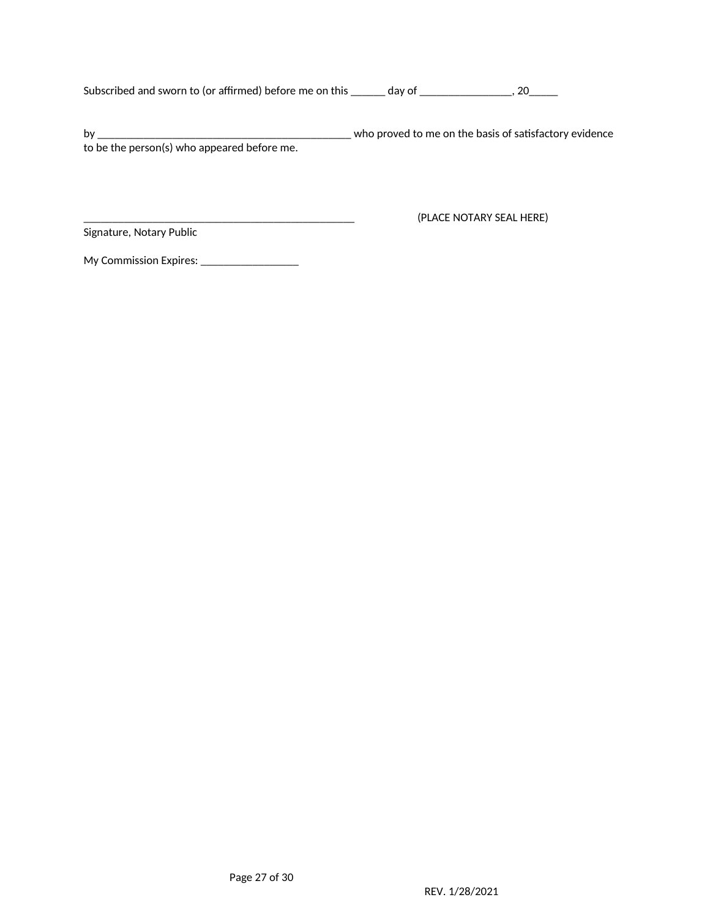Subscribed and sworn to (or affirmed) before me on this \_\_\_\_\_\_ day of \_\_\_\_\_\_\_\_\_\_\_\_\_\_\_, 20\_\_\_\_\_

by \_\_\_\_\_\_\_\_\_\_\_\_\_\_\_\_\_\_\_\_\_\_\_\_\_\_\_\_\_\_\_\_\_\_\_\_\_\_\_\_\_\_\_\_ who proved to me on the basis of satisfactory evidence to be the person(s) who appeared before me.

Signature, Notary Public

\_\_\_\_\_\_\_\_\_\_\_\_\_\_\_\_\_\_\_\_\_\_\_\_\_\_\_\_\_\_\_\_\_\_\_\_\_\_\_\_\_\_\_\_\_\_\_ (PLACE NOTARY SEAL HERE)

My Commission Expires: \_\_\_\_\_\_\_\_\_\_\_\_\_\_\_\_\_\_\_\_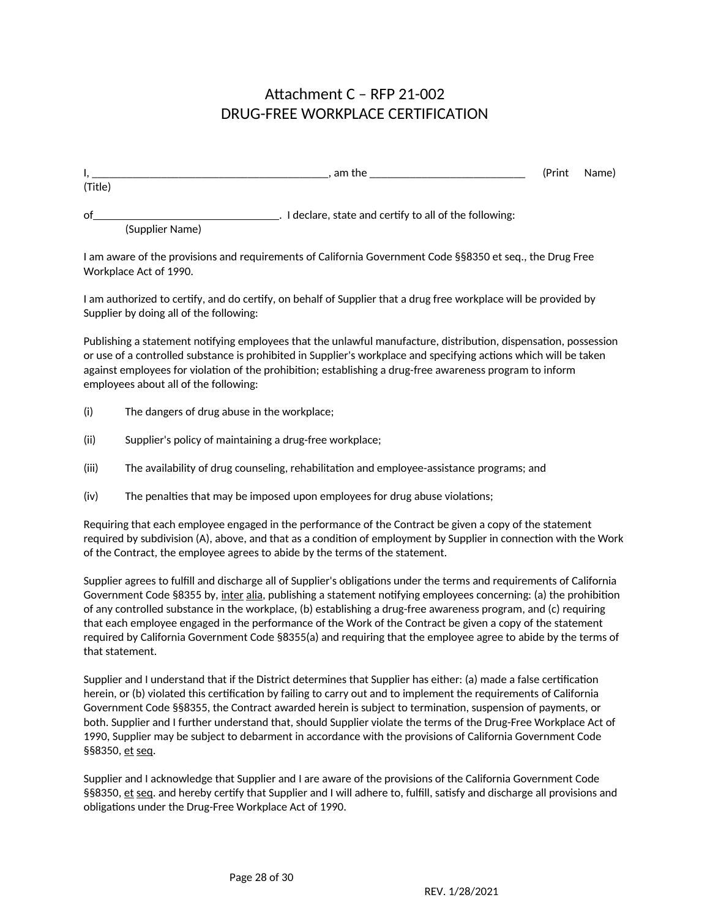# Attachment C – RFP 21-002 DRUG-FREE WORKPLACE CERTIFICATION

| ٠.      | $\sim$<br>am<br>.<br>_____ | 'Print | ----<br>ue.<br>יי |
|---------|----------------------------|--------|-------------------|
| (Title) |                            |        |                   |

of <u>the state and certify to all of the following:</u> I declare, state and certify to all of the following:

(Supplier Name)

I am aware of the provisions and requirements of California Government Code §§8350 et seq., the Drug Free Workplace Act of 1990.

I am authorized to certify, and do certify, on behalf of Supplier that a drug free workplace will be provided by Supplier by doing all of the following:

Publishing a statement notifying employees that the unlawful manufacture, distribution, dispensation, possession or use of a controlled substance is prohibited in Supplier's workplace and specifying actions which will be taken against employees for violation of the prohibition; establishing a drug-free awareness program to inform employees about all of the following:

- (i) The dangers of drug abuse in the workplace;
- (ii) Supplier's policy of maintaining a drug-free workplace;
- (iii) The availability of drug counseling, rehabilitation and employee-assistance programs; and
- (iv) The penalties that may be imposed upon employees for drug abuse violations;

Requiring that each employee engaged in the performance of the Contract be given a copy of the statement required by subdivision (A), above, and that as a condition of employment by Supplier in connection with the Work of the Contract, the employee agrees to abide by the terms of the statement.

Supplier agrees to fulfill and discharge all of Supplier's obligations under the terms and requirements of California Government Code §8355 by, inter alia, publishing a statement notifying employees concerning: (a) the prohibition of any controlled substance in the workplace, (b) establishing a drug-free awareness program, and (c) requiring that each employee engaged in the performance of the Work of the Contract be given a copy of the statement required by California Government Code §8355(a) and requiring that the employee agree to abide by the terms of that statement.

Supplier and I understand that if the District determines that Supplier has either: (a) made a false certification herein, or (b) violated this certification by failing to carry out and to implement the requirements of California Government Code §§8355, the Contract awarded herein is subject to termination, suspension of payments, or both. Supplier and I further understand that, should Supplier violate the terms of the Drug-Free Workplace Act of 1990, Supplier may be subject to debarment in accordance with the provisions of California Government Code §§8350, et seq.

Supplier and I acknowledge that Supplier and I are aware of the provisions of the California Government Code §§8350, et seq. and hereby certify that Supplier and I will adhere to, fulfill, satisfy and discharge all provisions and obligations under the Drug-Free Workplace Act of 1990.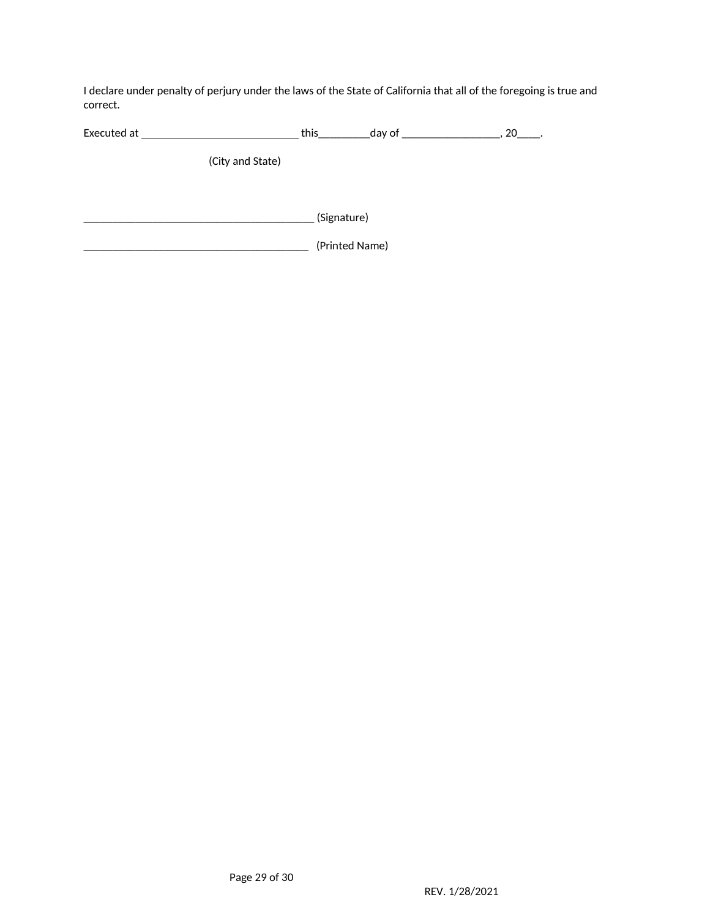I declare under penalty of perjury under the laws of the State of California that all of the foregoing is true and correct.

|                  | this<br>day of $\sqrt{2}$ | 20 |
|------------------|---------------------------|----|
| (City and State) |                           |    |
|                  | (Signature)               |    |
|                  | (Printed Name)            |    |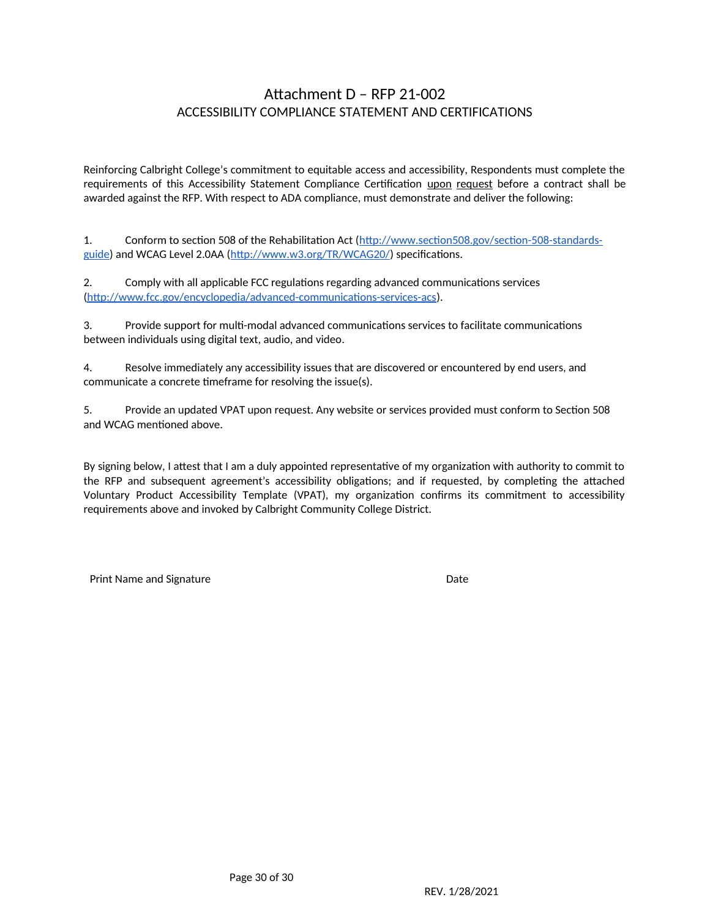# Attachment D – RFP 21-002 ACCESSIBILITY COMPLIANCE STATEMENT AND CERTIFICATIONS

Reinforcing Calbright College's commitment to equitable access and accessibility, Respondents must complete the requirements of this Accessibility Statement Compliance Certification upon request before a contract shall be awarded against the RFP. With respect to ADA compliance, must demonstrate and deliver the following:

1. Conform to section 508 of the Rehabilitation Act ([http://www.section508.gov/section-508-standards](http://www.section508.gov/section-508-standards-guide)[guide\)](http://www.section508.gov/section-508-standards-guide) and WCAG Level 2.0AA (<http://www.w3.org/TR/WCAG20/>) specifications.

2. Comply with all applicable FCC regulations regarding advanced communications services [\(http://www.fcc.gov/encyclopedia/advanced-communications-services-acs\)](http://www.fcc.gov/encyclopedia/advanced-communications-services-acs).

3. Provide support for multi-modal advanced communications services to facilitate communications between individuals using digital text, audio, and video.

4. Resolve immediately any accessibility issues that are discovered or encountered by end users, and communicate a concrete timeframe for resolving the issue(s).

5. Provide an updated VPAT upon request. Any website or services provided must conform to Section 508 and WCAG mentioned above.

By signing below, I attest that I am a duly appointed representative of my organization with authority to commit to the RFP and subsequent agreement's accessibility obligations; and if requested, by completing the attached Voluntary Product Accessibility Template (VPAT), my organization confirms its commitment to accessibility requirements above and invoked by Calbright Community College District.

Print Name and Signature **Date of American Structure Control** Date Date